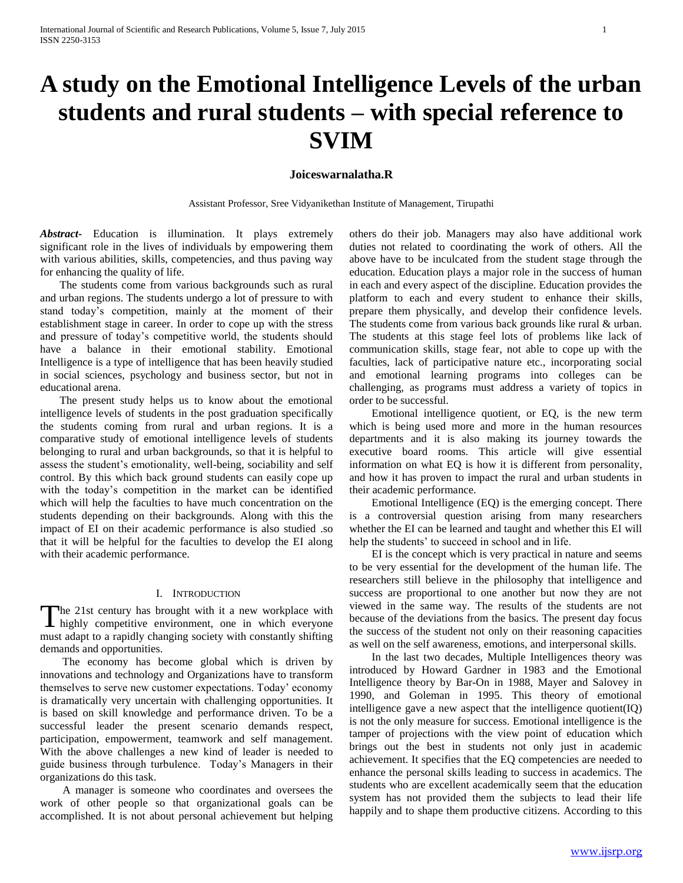# **A study on the Emotional Intelligence Levels of the urban students and rural students – with special reference to SVIM**

#### **Joiceswarnalatha.R**

Assistant Professor, Sree Vidyanikethan Institute of Management, Tirupathi

*Abstract***-** Education is illumination. It plays extremely significant role in the lives of individuals by empowering them with various abilities, skills, competencies, and thus paving way for enhancing the quality of life.

 The students come from various backgrounds such as rural and urban regions. The students undergo a lot of pressure to with stand today's competition, mainly at the moment of their establishment stage in career. In order to cope up with the stress and pressure of today's competitive world, the students should have a balance in their emotional stability. Emotional Intelligence is a type of intelligence that has been heavily studied in social sciences, psychology and business sector, but not in educational arena.

 The present study helps us to know about the emotional intelligence levels of students in the post graduation specifically the students coming from rural and urban regions. It is a comparative study of emotional intelligence levels of students belonging to rural and urban backgrounds, so that it is helpful to assess the student's emotionality, well-being, sociability and self control. By this which back ground students can easily cope up with the today's competition in the market can be identified which will help the faculties to have much concentration on the students depending on their backgrounds. Along with this the impact of EI on their academic performance is also studied .so that it will be helpful for the faculties to develop the EI along with their academic performance.

#### I. INTRODUCTION

The 21st century has brought with it a new workplace with highly competitive environment, one in which everyone  $\blacksquare$  highly competitive environment, one in which everyone must adapt to a rapidly changing society with constantly shifting demands and opportunities.

 The economy has become global which is driven by innovations and technology and Organizations have to transform themselves to serve new customer expectations. Today' economy is dramatically very uncertain with challenging opportunities. It is based on skill knowledge and performance driven. To be a successful leader the present scenario demands respect, participation, empowerment, teamwork and self management. With the above challenges a new kind of leader is needed to guide business through turbulence. Today's Managers in their organizations do this task.

 A manager is someone who coordinates and oversees the work of other people so that organizational goals can be accomplished. It is not about personal achievement but helping others do their job. Managers may also have additional work duties not related to coordinating the work of others. All the above have to be inculcated from the student stage through the education. Education plays a major role in the success of human in each and every aspect of the discipline. Education provides the platform to each and every student to enhance their skills, prepare them physically, and develop their confidence levels. The students come from various back grounds like rural & urban. The students at this stage feel lots of problems like lack of communication skills, stage fear, not able to cope up with the faculties, lack of participative nature etc., incorporating social and emotional learning programs into colleges can be challenging, as programs must address a variety of topics in order to be successful.

 Emotional intelligence quotient, or EQ, is the new term which is being used more and more in the human resources departments and it is also making its journey towards the executive board rooms. This article will give essential information on what EQ is how it is different from personality, and how it has proven to impact the rural and urban students in their academic performance.

 Emotional Intelligence (EQ) is the emerging concept. There is a controversial question arising from many researchers whether the EI can be learned and taught and whether this EI will help the students' to succeed in school and in life.

 EI is the concept which is very practical in nature and seems to be very essential for the development of the human life. The researchers still believe in the philosophy that intelligence and success are proportional to one another but now they are not viewed in the same way. The results of the students are not because of the deviations from the basics. The present day focus the success of the student not only on their reasoning capacities as well on the self awareness, emotions, and interpersonal skills.

 In the last two decades, Multiple Intelligences theory was introduced by Howard Gardner in 1983 and the Emotional Intelligence theory by Bar-On in 1988, Mayer and Salovey in 1990, and Goleman in 1995. This theory of emotional intelligence gave a new aspect that the intelligence quotient(IQ) is not the only measure for success. Emotional intelligence is the tamper of projections with the view point of education which brings out the best in students not only just in academic achievement. It specifies that the EQ competencies are needed to enhance the personal skills leading to success in academics. The students who are excellent academically seem that the education system has not provided them the subjects to lead their life happily and to shape them productive citizens. According to this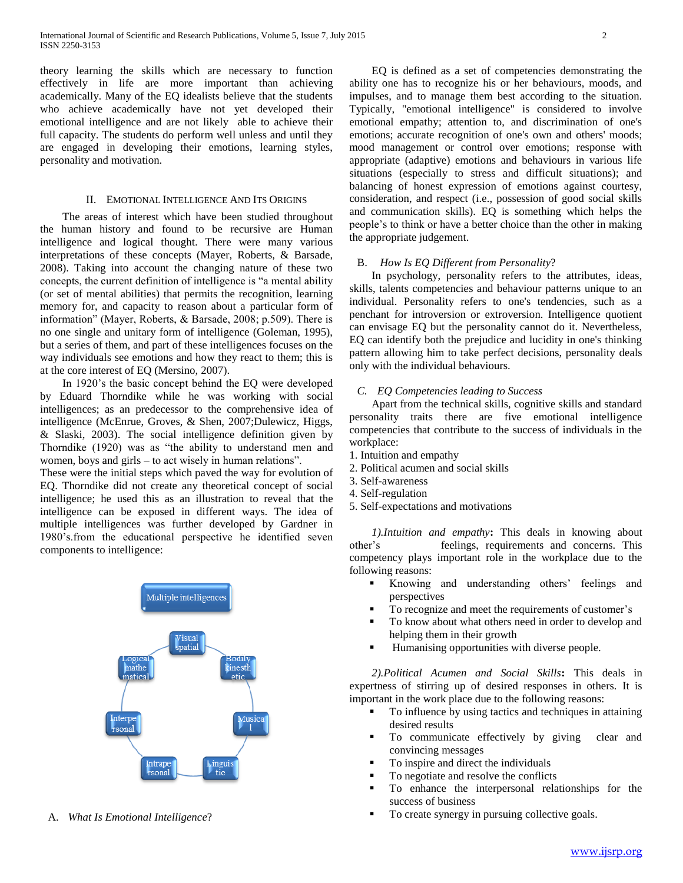theory learning the skills which are necessary to function effectively in life are more important than achieving academically. Many of the EQ idealists believe that the students who achieve academically have not yet developed their emotional intelligence and are not likely able to achieve their full capacity. The students do perform well unless and until they are engaged in developing their emotions, learning styles, personality and motivation.

#### II. EMOTIONAL INTELLIGENCE AND ITS ORIGINS

 The areas of interest which have been studied throughout the human history and found to be recursive are Human intelligence and logical thought. There were many various interpretations of these concepts (Mayer, Roberts, & Barsade, 2008). Taking into account the changing nature of these two concepts, the current definition of intelligence is "a mental ability (or set of mental abilities) that permits the recognition, learning memory for, and capacity to reason about a particular form of information" (Mayer, Roberts, & Barsade, 2008; p.509). There is no one single and unitary form of intelligence (Goleman, 1995), but a series of them, and part of these intelligences focuses on the way individuals see emotions and how they react to them; this is at the core interest of EQ (Mersino, 2007).

 In 1920's the basic concept behind the EQ were developed by Eduard Thorndike while he was working with social intelligences; as an predecessor to the comprehensive idea of intelligence (McEnrue, Groves, & Shen, 2007;Dulewicz, Higgs, & Slaski, 2003). The social intelligence definition given by Thorndike (1920) was as "the ability to understand men and women, boys and girls – to act wisely in human relations".

These were the initial steps which paved the way for evolution of EQ. Thorndike did not create any theoretical concept of social intelligence; he used this as an illustration to reveal that the intelligence can be exposed in different ways. The idea of multiple intelligences was further developed by Gardner in 1980's.from the educational perspective he identified seven components to intelligence:



A. *What Is Emotional Intelligence*?

 EQ is defined as a set of competencies demonstrating the ability one has to recognize his or her behaviours, moods, and impulses, and to manage them best according to the situation. Typically, "emotional intelligence" is considered to involve emotional empathy; attention to, and discrimination of one's emotions; accurate recognition of one's own and others' moods; mood management or control over emotions; response with appropriate (adaptive) emotions and behaviours in various life situations (especially to stress and difficult situations); and balancing of honest expression of emotions against courtesy, consideration, and respect (i.e., possession of good social skills and communication skills). EQ is something which helps the people's to think or have a better choice than the other in making the appropriate judgement.

#### B. *How Is EQ Different from Personality*?

 In psychology, personality refers to the attributes, ideas, skills, talents competencies and behaviour patterns unique to an individual. Personality refers to one's tendencies, such as a penchant for introversion or extroversion. Intelligence quotient can envisage EQ but the personality cannot do it. Nevertheless, EQ can identify both the prejudice and lucidity in one's thinking pattern allowing him to take perfect decisions, personality deals only with the individual behaviours.

#### *C. EQ Competencies leading to Success*

 Apart from the technical skills, cognitive skills and standard personality traits there are five emotional intelligence competencies that contribute to the success of individuals in the workplace:

- 1. Intuition and empathy
- 2. Political acumen and social skills
- 3. Self-awareness
- 4. Self-regulation
- 5. Self-expectations and motivations

 *1).Intuition and empathy***:** This deals in knowing about other's feelings, requirements and concerns. This competency plays important role in the workplace due to the following reasons:

- Knowing and understanding others' feelings and perspectives
- To recognize and meet the requirements of customer's
- To know about what others need in order to develop and helping them in their growth
- Humanising opportunities with diverse people.

 *2).Political Acumen and Social Skills***:** This deals in expertness of stirring up of desired responses in others. It is important in the work place due to the following reasons:

- To influence by using tactics and techniques in attaining desired results
- To communicate effectively by giving clear and convincing messages
- To inspire and direct the individuals
- To negotiate and resolve the conflicts
- To enhance the interpersonal relationships for the success of business
- To create synergy in pursuing collective goals.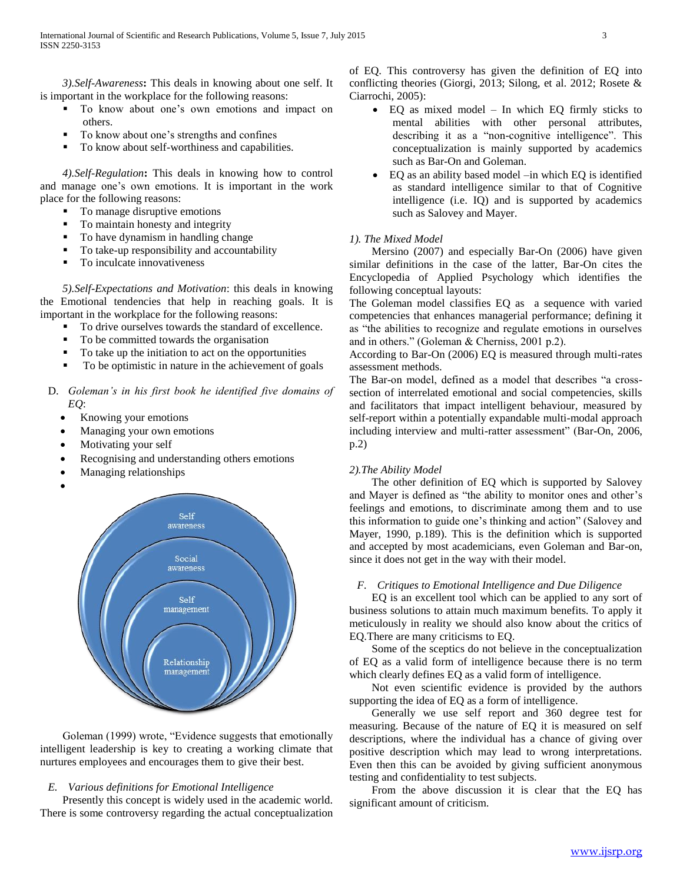*3).Self-Awareness***:** This deals in knowing about one self. It is important in the workplace for the following reasons:

- To know about one's own emotions and impact on others.
- To know about one's strengths and confines
- To know about self-worthiness and capabilities.

 *4).Self-Regulation***:** This deals in knowing how to control and manage one's own emotions. It is important in the work place for the following reasons:

- To manage disruptive emotions
- To maintain honesty and integrity
- To have dynamism in handling change
- To take-up responsibility and accountability
- To inculcate innovativeness

 *5).Self-Expectations and Motivation*: this deals in knowing the Emotional tendencies that help in reaching goals. It is important in the workplace for the following reasons:

- To drive ourselves towards the standard of excellence.
- To be committed towards the organisation
- To take up the initiation to act on the opportunities
- To be optimistic in nature in the achievement of goals
- D. *Goleman's in his first book he identified five domains of EQ*:
	- Knowing your emotions
	- Managing your own emotions
	- Motivating your self
	- Recognising and understanding others emotions
	- Managing relationships



 Goleman (1999) wrote, "Evidence suggests that emotionally intelligent leadership is key to creating a working climate that nurtures employees and encourages them to give their best.

#### *E. Various definitions for Emotional Intelligence*

 Presently this concept is widely used in the academic world. There is some controversy regarding the actual conceptualization of EQ. This controversy has given the definition of EQ into conflicting theories (Giorgi, 2013; Silong, et al. 2012; Rosete & Ciarrochi, 2005):

- EQ as mixed model In which EQ firmly sticks to mental abilities with other personal attributes, describing it as a "non-cognitive intelligence". This conceptualization is mainly supported by academics such as Bar-On and Goleman.
- EQ as an ability based model –in which EQ is identified as standard intelligence similar to that of Cognitive intelligence (i.e. IQ) and is supported by academics such as Salovey and Mayer.

#### *1). The Mixed Model*

 Mersino (2007) and especially Bar-On (2006) have given similar definitions in the case of the latter, Bar-On cites the Encyclopedia of Applied Psychology which identifies the following conceptual layouts:

The Goleman model classifies EQ as a sequence with varied competencies that enhances managerial performance; defining it as "the abilities to recognize and regulate emotions in ourselves and in others." (Goleman & Cherniss, 2001 p.2).

According to Bar-On (2006) EQ is measured through multi-rates assessment methods.

The Bar-on model, defined as a model that describes "a crosssection of interrelated emotional and social competencies, skills and facilitators that impact intelligent behaviour, measured by self-report within a potentially expandable multi-modal approach including interview and multi-ratter assessment" (Bar-On, 2006, p.2)

#### *2).The Ability Model*

 The other definition of EQ which is supported by Salovey and Mayer is defined as "the ability to monitor ones and other's feelings and emotions, to discriminate among them and to use this information to guide one's thinking and action" (Salovey and Mayer, 1990, p.189). This is the definition which is supported and accepted by most academicians, even Goleman and Bar-on, since it does not get in the way with their model.

#### *F. Critiques to Emotional Intelligence and Due Diligence*

 EQ is an excellent tool which can be applied to any sort of business solutions to attain much maximum benefits. To apply it meticulously in reality we should also know about the critics of EQ.There are many criticisms to EQ.

 Some of the sceptics do not believe in the conceptualization of EQ as a valid form of intelligence because there is no term which clearly defines EQ as a valid form of intelligence.

 Not even scientific evidence is provided by the authors supporting the idea of EQ as a form of intelligence.

 Generally we use self report and 360 degree test for measuring. Because of the nature of EQ it is measured on self descriptions, where the individual has a chance of giving over positive description which may lead to wrong interpretations. Even then this can be avoided by giving sufficient anonymous testing and confidentiality to test subjects.

 From the above discussion it is clear that the EQ has significant amount of criticism.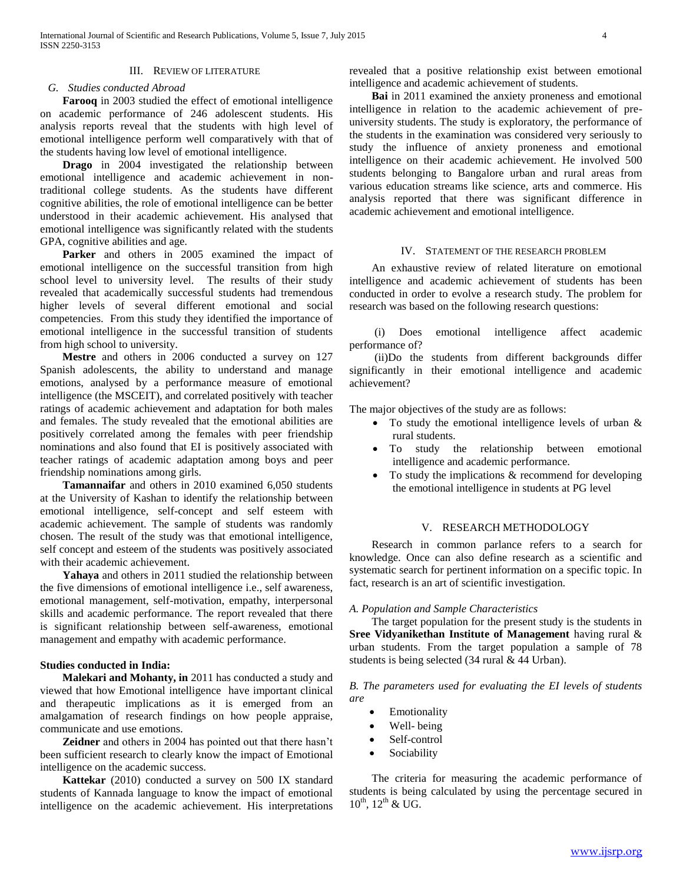#### III. REVIEW OF LITERATURE

#### *G. Studies conducted Abroad*

 **Farooq** in 2003 studied the effect of emotional intelligence on academic performance of 246 adolescent students. His analysis reports reveal that the students with high level of emotional intelligence perform well comparatively with that of the students having low level of emotional intelligence.

 **Drago** in 2004 investigated the relationship between emotional intelligence and academic achievement in nontraditional college students. As the students have different cognitive abilities, the role of emotional intelligence can be better understood in their academic achievement. His analysed that emotional intelligence was significantly related with the students GPA, cognitive abilities and age.

Parker and others in 2005 examined the impact of emotional intelligence on the successful transition from high school level to university level. The results of their study revealed that academically successful students had tremendous higher levels of several different emotional and social competencies. From this study they identified the importance of emotional intelligence in the successful transition of students from high school to university.

 **Mestre** and others in 2006 conducted a survey on 127 Spanish adolescents, the ability to understand and manage emotions, analysed by a performance measure of emotional intelligence (the MSCEIT), and correlated positively with teacher ratings of academic achievement and adaptation for both males and females. The study revealed that the emotional abilities are positively correlated among the females with peer friendship nominations and also found that EI is positively associated with teacher ratings of academic adaptation among boys and peer friendship nominations among girls.

 **Tamannaifar** and others in 2010 examined 6,050 students at the University of Kashan to identify the relationship between emotional intelligence, self-concept and self esteem with academic achievement. The sample of students was randomly chosen. The result of the study was that emotional intelligence, self concept and esteem of the students was positively associated with their academic achievement.

 **Yahaya** and others in 2011 studied the relationship between the five dimensions of emotional intelligence i.e., self awareness, emotional management, self-motivation, empathy, interpersonal skills and academic performance. The report revealed that there is significant relationship between self-awareness, emotional management and empathy with academic performance.

#### **Studies conducted in India:**

 **Malekari and Mohanty, in** 2011 has conducted a study and viewed that how Emotional intelligence have important clinical and therapeutic implications as it is emerged from an amalgamation of research findings on how people appraise, communicate and use emotions.

 **Zeidner** and others in 2004 has pointed out that there hasn't been sufficient research to clearly know the impact of Emotional intelligence on the academic success.

 **Kattekar** (2010) conducted a survey on 500 IX standard students of Kannada language to know the impact of emotional intelligence on the academic achievement. His interpretations

revealed that a positive relationship exist between emotional intelligence and academic achievement of students.

 **Bai** in 2011 examined the anxiety proneness and emotional intelligence in relation to the academic achievement of preuniversity students. The study is exploratory, the performance of the students in the examination was considered very seriously to study the influence of anxiety proneness and emotional intelligence on their academic achievement. He involved 500 students belonging to Bangalore urban and rural areas from various education streams like science, arts and commerce. His analysis reported that there was significant difference in academic achievement and emotional intelligence.

#### IV. STATEMENT OF THE RESEARCH PROBLEM

 An exhaustive review of related literature on emotional intelligence and academic achievement of students has been conducted in order to evolve a research study. The problem for research was based on the following research questions:

 (i) Does emotional intelligence affect academic performance of?

 (ii)Do the students from different backgrounds differ significantly in their emotional intelligence and academic achievement?

The major objectives of the study are as follows:

- To study the emotional intelligence levels of urban & rural students.
- To study the relationship between emotional intelligence and academic performance.
- To study the implications & recommend for developing the emotional intelligence in students at PG level

#### V. RESEARCH METHODOLOGY

 Research in common parlance refers to a search for knowledge. Once can also define research as a scientific and systematic search for pertinent information on a specific topic. In fact, research is an art of scientific investigation.

#### *A. Population and Sample Characteristics*

 The target population for the present study is the students in **Sree Vidyanikethan Institute of Management** having rural & urban students. From the target population a sample of 78 students is being selected (34 rural & 44 Urban).

*B. The parameters used for evaluating the EI levels of students are*

- Emotionality
- Well- being
- Self-control
- Sociability

 The criteria for measuring the academic performance of students is being calculated by using the percentage secured in  $10^{th}$ ,  $12^{th}$  & UG.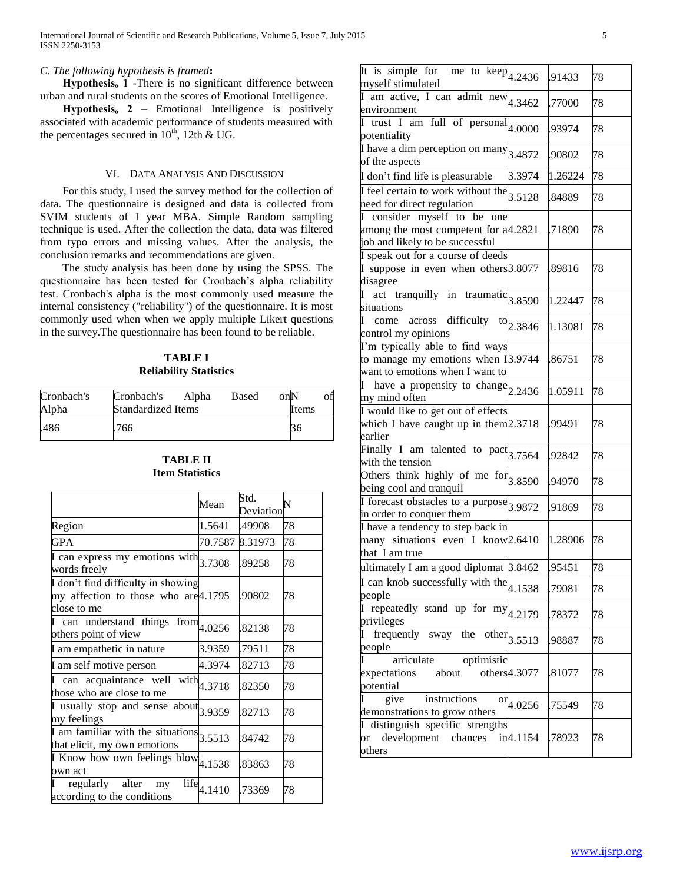#### *C. The following hypothesis is framed***:**

 **Hypothesisₒ 1 -**There is no significant difference between urban and rural students on the scores of Emotional Intelligence.

 **Hypothesisₒ 2** – Emotional Intelligence is positively associated with academic performance of students measured with the percentages secured in  $10^{th}$ , 12th & UG.

#### VI. DATA ANALYSIS AND DISCUSSION

 For this study, I used the survey method for the collection of data. The questionnaire is designed and data is collected from SVIM students of I year MBA. Simple Random sampling technique is used. After the collection the data, data was filtered from typo errors and missing values. After the analysis, the conclusion remarks and recommendations are given.

 The study analysis has been done by using the SPSS. The questionnaire has been tested for Cronbach's alpha reliability test. Cronbach's alpha is the most commonly used measure the internal consistency ("reliability") of the questionnaire. It is most commonly used when when we apply multiple Likert questions in the survey.The questionnaire has been found to be reliable.

# **TABLE I Reliability Statistics**

| Cronbach's | Cronbach's | Alpha                       | Based | on <sub>N</sub> |  |  |  |
|------------|------------|-----------------------------|-------|-----------------|--|--|--|
| Alpha      |            | Standardized Items<br>Items |       |                 |  |  |  |
| .486       | 766        |                             |       |                 |  |  |  |

# **TABLE II Item Statistics**

|                                                                                           | Mean                          | Std.<br>Deviation | N  |
|-------------------------------------------------------------------------------------------|-------------------------------|-------------------|----|
| Region                                                                                    | 1.5641                        | .49908            | 78 |
| <b>GPA</b>                                                                                | 70.7587 8.31973               |                   | 78 |
| $\overline{I}$ can express my emotions with $3.7308$<br>words freely                      |                               | .89258            | 78 |
| I don't find difficulty in showing<br>my affection to those who are 4.1795<br>close to me |                               | .90802            | 78 |
| I can understand things<br>others point of view                                           | ${\rm from}^{\rm}{}_{4.0256}$ | .82138            | 78 |
| I am empathetic in nature                                                                 | 3.9359                        | .79511            | 78 |
| I am self motive person                                                                   | 4.3974                        | .82713            | 78 |
| $\overline{I}$ can acquaintance well with $4.3718$<br>those who are close to me           |                               | .82350            | 78 |
| $\frac{1}{\sqrt{1}}$ usually stop and sense about 3.9359<br>my feelings                   |                               | .82713            | 78 |
| $\overline{I}$ am familiar with the situations $3.5513$<br>that elicit, my own emotions   |                               | .84742            | 78 |
| $\overline{I}$ Know how own feelings blow 4.1538<br>own act                               |                               | .83863            | 78 |
| regularly alter<br>life<br>my<br>according to the conditions                              | 4.1410                        | .73369            | 78 |

| It is simple for me to keep $_{4.2436}$<br>myself stimulated                                              |                                  | .91433  | 78 |
|-----------------------------------------------------------------------------------------------------------|----------------------------------|---------|----|
| $\overline{I}$ am active, I can admit new $4.3462$<br>environment                                         |                                  | .77000  | 78 |
| trust I am full of personal $ 4.0000 $<br>potentiality                                                    |                                  | .93974  | 78 |
| I have a dim perception on many<br>of the aspects                                                         | 3.4872                           | .90802  | 78 |
| I don't find life is pleasurable                                                                          | 3.3974                           | 1.26224 | 78 |
| $\overline{I}$ feel certain to work without the $3.5128$<br>need for direct regulation                    |                                  | .84889  | 78 |
| I consider myself to be<br>one<br>among the most competent for a4.2821<br>job and likely to be successful |                                  | .71890  | 78 |
| I speak out for a course of deeds<br>I suppose in even when others 3.8077<br>disagree                     |                                  | .89816  | 78 |
| act tranquilly in traumatic $3.8590$<br>I<br>situations                                                   |                                  | 1.22447 | 78 |
| come across difficulty<br>control my opinions                                                             | $\rm{^{to}$ 2.3846               | 1.13081 | 78 |
| I'm typically able to find ways<br>to manage my emotions when I3.9744<br>want to emotions when I want to  |                                  | .86751  | 78 |
| have a propensity to change $2.2436$<br>L<br>my mind often                                                |                                  | 1.05911 | 78 |
| I would like to get out of effects<br>which I have caught up in them $2.3718$<br>earlier                  |                                  | .99491  | 78 |
| Finally I am talented to pact $3.7564$<br>with the tension                                                |                                  | .92842  | 78 |
| Others think highly of me $\frac{1}{3.8590}$<br>being cool and tranquil                                   |                                  | .94970  | 78 |
| I forecast obstacles to a purpose 3.9872<br>in order to conquer them                                      |                                  | .91869  | 78 |
| I have a tendency to step back in<br>many situations even I know 2.6410<br>that I am true                 |                                  | 1.28906 | 78 |
| ultimately I am a good diplomat 3.8462                                                                    |                                  | .95451  | 78 |
| $\overline{\text{II}}$ can knob successfully with the 4.1538<br>people                                    |                                  | .79081  | 78 |
| $\overline{I}$ repeatedly stand up for my $4.2179$<br>privileges                                          |                                  | .78372  | 78 |
| frequently sway the<br>people                                                                             | $\overline{\text{other}}$ 3.5513 | 98887.  | 78 |
| articulate<br>optimistic<br>expectations<br>about<br>potential                                            | others <sup>4.3077</sup>         | .81077  | 78 |
| instructions<br>I<br>give<br>demonstrations to grow others                                                | $\text{or}_{4.0256}$             | .75549  | 78 |
| distinguish specific strengths<br>development<br>chances<br>or<br>others                                  | in4.1154                         | .78923  | 78 |
|                                                                                                           |                                  |         |    |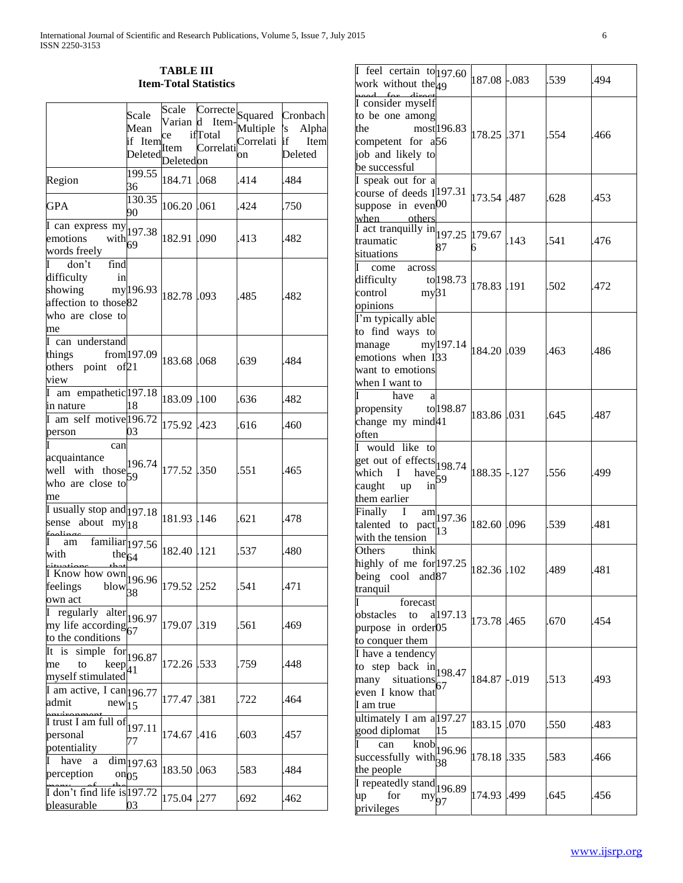# **TABLE III Item-Total Statistics**

|                                                                                                                | Scale                          | Scale       |           | Correcte Squared | Cronbach    |
|----------------------------------------------------------------------------------------------------------------|--------------------------------|-------------|-----------|------------------|-------------|
|                                                                                                                | Mean                           | Varian d    | Item-     | Multiple         | 's<br>Alpha |
|                                                                                                                | if Item                        | ce          | ifTotal   | Correlati if     | Item        |
|                                                                                                                | Deleted                        | Item        | Correlati | on               | Deleted     |
|                                                                                                                |                                | Deletedon   |           |                  |             |
| Region                                                                                                         | 199.55<br>36                   | 184.71      | .068      | .414             | .484        |
| <b>GPA</b>                                                                                                     | 130.35<br>90                   | 106.20      | .061      | .424             | .750        |
| $\sqrt{I \text{ can express } my}$ 197.38<br>emotions<br>with $69$<br>words freely                             |                                | 182.91 .090 |           | .413             | .482        |
| $\mathbf{I}$<br>don't<br>find<br>difficulty<br>in<br>showing<br>affection to those82<br>who are close to<br>me | my 196.93                      | 182.78 .093 |           | .485             | .482        |
| I can understand<br>things $from 197.09$<br>others point of 21<br>view                                         |                                | 183.68 .068 |           | .639             | .484        |
| I am empathetic 197.18<br>in nature                                                                            | 18                             | 183.09 .100 |           | .636             | .482        |
| I am self motive 196.72<br>person                                                                              | 03                             | 175.92 .423 |           | .616             | .460        |
| can<br>acquaintance<br>well with those<br>who are close to<br>me                                               | 196.74<br>59                   | 177.52 .350 |           | .551             | .465        |
| $\overline{I}$ usually stop and 197.18<br>about<br>sense<br>my 18<br>سنلمم                                     |                                | 181.93 .146 |           | .621             | .478        |
| familiar <sub>197.56</sub><br>T<br>am<br>with<br>the $64$                                                      |                                | 182.40 .121 |           | .537             | .480        |
| $\frac{1 \text{ Know how own}}{196.96}$<br>feelings<br>$\frac{1}{38}$<br>own act                               |                                | 179.52 .252 |           | .541             | .471        |
| $\overline{I}$ regularly alter 196.97<br>my life according $67$<br>to the conditions                           |                                | 179.07 .319 |           | .561             | .469        |
| It is<br>simple<br>to<br>me<br>$keep_{41}$<br>myself stimulated                                                | $\text{for}$ 196.87            | 172.26 533  |           | .759             | .448        |
| $\overline{I}$ am active, I can 196.77<br>admit<br>new 15                                                      |                                | 177.47      | .381      | .722             | .464        |
| I trust I am full of<br>personal<br>potentiality                                                               | 197.11<br>77                   | 174.67      | .416      | .603             | .457        |
| $\mathbf I$<br>have a<br>perception                                                                            | dim 197.63<br>on <sub>05</sub> | 183.50      | .063      | .583             | .484        |
| I don't find life is 197.72<br>pleasurable                                                                     | 03                             | 175.04 .277 |           | .692             | .462        |

| $\overline{I}$ feel certain to 197.60<br>work without the $49$                                                                                                                                                                                                                                                                                                                                                                                              |                                 | 187.08 -.083 |      | .539 | .494  |
|-------------------------------------------------------------------------------------------------------------------------------------------------------------------------------------------------------------------------------------------------------------------------------------------------------------------------------------------------------------------------------------------------------------------------------------------------------------|---------------------------------|--------------|------|------|-------|
| I consider myself<br>to be one among<br>the<br>competent for a56<br>job and likely to<br>be successful                                                                                                                                                                                                                                                                                                                                                      | most196.83                      | 178.25 .371  |      | .554 | .466  |
| I speak out for a<br>course of deeds $I$ <sup>197.31</sup><br>suppose in even <sup>[00]</sup><br>when others                                                                                                                                                                                                                                                                                                                                                |                                 | 173.54 .487  |      | .628 | .453  |
| $\left[\text{I act,} \frac{1}{2} \text{ arct,} \frac{1}{2} \text{arct,} \frac{1}{2} \text{arct,} \frac{1}{2} \text{arct,} \frac{1}{2} \text{arct,} \frac{1}{2} \text{arct,} \frac{1}{2} \text{arct,} \frac{1}{2} \text{arct,} \frac{1}{2} \text{arct,} \frac{1}{2} \text{arct,} \frac{1}{2} \text{arct,} \frac{1}{2} \text{arct,} \frac{1}{2} \text{arct,} \frac{1}{2} \text{arct,} \frac{1}{2} \text{arct,} \$<br>traumatic<br>situations<br>I come across | 87                              | 6            | .143 | .541 | .476  |
| difficulty $\text{to}$ 198.73<br>control<br>my31<br>opinions                                                                                                                                                                                                                                                                                                                                                                                                |                                 | 178.83 .191  |      | .502 | 1.472 |
| I'm typically able<br>to find ways to<br>manage $my 197.14$<br>emotions when I33<br>want to emotions<br>when I want to                                                                                                                                                                                                                                                                                                                                      |                                 | 184.20 .039  |      | .463 | .486  |
| have<br>a<br>propensity $\text{to}$ 198.87<br>change my mind41<br>often                                                                                                                                                                                                                                                                                                                                                                                     |                                 | 183.86 .031  |      | .645 | .487  |
| I would like to<br>get out of effects $198.74$<br>which<br>Ι<br>$have$ $\begin{bmatrix} 1 \\ 59 \end{bmatrix}$<br>caught<br>in<br>up<br>them earlier                                                                                                                                                                                                                                                                                                        |                                 | 188.35 -.127 |      | .556 | .499  |
| Finally I<br>talented to pact $\begin{bmatrix} 1 & 3 \end{bmatrix}$<br>with the tension                                                                                                                                                                                                                                                                                                                                                                     | $\frac{am}{197.36}$             | 182.60 .096  |      | .539 | .481  |
| Others<br>think<br>highly of me for 197.25<br>being cool and 87<br>tranquil                                                                                                                                                                                                                                                                                                                                                                                 |                                 | 182.36 .102  |      | .489 | .481  |
| T<br>forecast<br>obstacles<br>to<br>purpose in order05<br>to conquer them                                                                                                                                                                                                                                                                                                                                                                                   | a197.13                         | 173.78       | .465 | .670 | .454  |
| I have a tendency<br>to step back $\ln \left  \frac{198.47}{198.47} \right $<br>many situations<br>even I know that<br>I am true                                                                                                                                                                                                                                                                                                                            | 67                              | 184.87 -.019 |      | .513 | 493.  |
| ultimately I am a 197.27<br>good diplomat                                                                                                                                                                                                                                                                                                                                                                                                                   | 15                              | 183.15 .070  |      | .550 | .483  |
| I<br>can<br>successfully with $38$<br>the people                                                                                                                                                                                                                                                                                                                                                                                                            | $\overline{\text{knob}}$ 196.96 | 178.18 .335  |      | .583 | .466  |
| $\overline{I}$ repeatedly stand $ 196.89\rangle$<br>for<br>up<br>$my_{97}$<br>privileges                                                                                                                                                                                                                                                                                                                                                                    |                                 | 174.93       | .499 | .645 | 456   |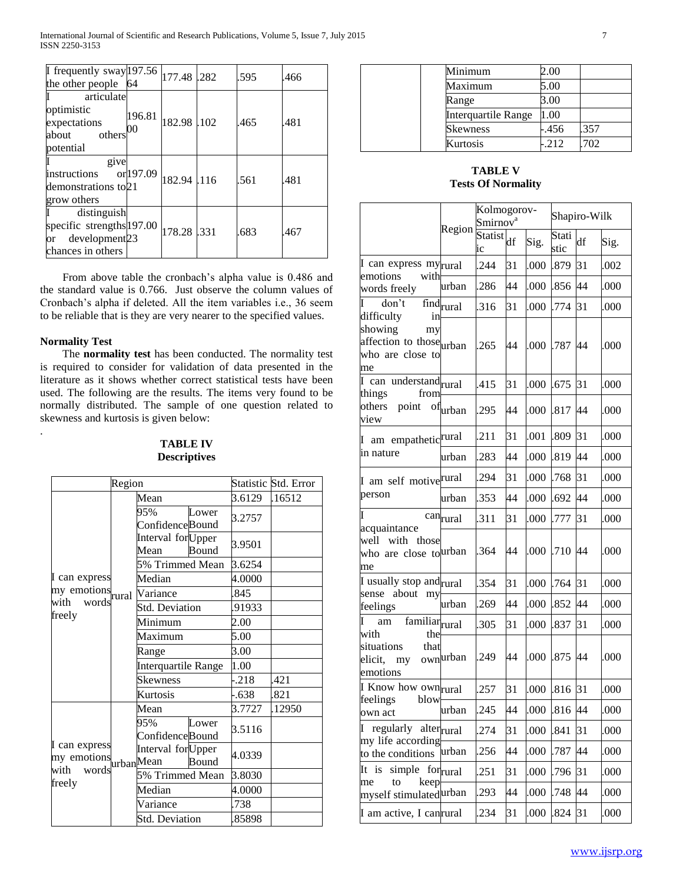| I frequently sway $ 197.56 $<br>the other people $\vert 64 \rangle$                              |                    | 177.48 .282 | .595 | .466 |
|--------------------------------------------------------------------------------------------------|--------------------|-------------|------|------|
| articulate<br>optimistic<br>expectations<br>others<br>about<br>potential                         | 196.81<br>$\Omega$ | 182.98 .102 | .465 | .481 |
| give<br>instructions or 197.09<br>demonstrations to 21<br>grow others                            |                    | 182.94 .116 | .561 | .481 |
| distinguish<br>specific strengths 197.00<br>development <sub>23</sub><br>or<br>chances in others |                    | 178.28 .331 | .683 | .467 |

 From above table the cronbach's alpha value is 0.486 and the standard value is 0.766. Just observe the column values of Cronbach's alpha if deleted. All the item variables i.e., 36 seem to be reliable that is they are very nearer to the specified values.

#### **Normality Test**

.

 The **normality test** has been conducted. The normality test is required to consider for validation of data presented in the literature as it shows whether correct statistical tests have been used. The following are the results. The items very found to be normally distributed. The sample of one question related to skewness and kurtosis is given below:

# **TABLE IV Descriptives**

|                                            | Region |                             |       |        | Statistic Std. Error |
|--------------------------------------------|--------|-----------------------------|-------|--------|----------------------|
|                                            |        | Mean                        |       | 3.6129 | .16512               |
|                                            |        | 95%<br>Confidence Bound     | Lower | 3.2757 |                      |
|                                            |        | Interval for Upper<br>Mean  | Bound | 3.9501 |                      |
|                                            |        | 5% Trimmed Mean             |       | 3.6254 |                      |
| I can express                              |        | Median                      |       | 4.0000 |                      |
| my emotions<br>with words <sup>rural</sup> |        | Variance                    |       | 845    |                      |
|                                            |        | <b>Std. Deviation</b>       |       | 91933  |                      |
| freely                                     |        | Minimum                     |       | 2.00   |                      |
|                                            |        | Maximum                     |       | 5.00   |                      |
|                                            |        | Range                       |       | 3.00   |                      |
|                                            |        | Interquartile Range         |       | 1.00   |                      |
|                                            |        | <b>Skewness</b>             |       | $-218$ | .421                 |
|                                            |        | Kurtosis                    |       | $-638$ | 821                  |
|                                            |        | Mean                        |       | 3.7727 | .12950               |
|                                            |        | 95%<br>Confidence Bound     | Lower | 3.5116 |                      |
| I can express<br>my emotions urban Mean    |        | Interval for Upper<br>Bound |       | 4.0339 |                      |
|                                            |        | 5% Trimmed Mean             |       | 3.8030 |                      |
| freely                                     |        | Median                      |       | 4.0000 |                      |
|                                            |        | Variance                    |       | .738   |                      |
|                                            |        | <b>Std. Deviation</b>       |       | 85898  |                      |

| Minimum             | 2.00   |      |
|---------------------|--------|------|
| Maximum             | 5.00   |      |
| Range               | 3.00   |      |
| Interquartile Range | 1.00   |      |
| <b>Skewness</b>     | -.456  | .357 |
| Kurtosis            | $-212$ | .702 |

# **TABLE V Tests Of Normality**

|                                                                                         |                                         | Kolmogorov-<br>Smirnov <sup>a</sup> |    |      | Shapiro-Wilk  |    |      |
|-----------------------------------------------------------------------------------------|-----------------------------------------|-------------------------------------|----|------|---------------|----|------|
|                                                                                         | Region                                  | <b>Statist</b><br>ic                | df | Sig. | Stati<br>stic | df | Sig. |
| I can express my <sub>rural</sub>                                                       |                                         | .244                                | 31 | .000 | .879          | 31 | .002 |
| emotions<br>with<br>words freely                                                        | urban                                   | .286                                | 44 | .000 | .856          | 44 | .000 |
| don't                                                                                   | $\overline{\text{find}}_{\text{rural}}$ | 316                                 | 31 | .000 | .774          | 31 | .000 |
| difficulty<br>in<br>showing<br>my<br>affection to those urban<br>who are close to<br>me |                                         | .265                                | 44 | .000 | .787          | 44 | .000 |
| $I$ can understand rural<br>things<br>from                                              |                                         | 415                                 | 31 | .000 | .675          | 31 | .000 |
| others point<br>view                                                                    | ofurban                                 | .295                                | 44 | .000 | .817          | 44 | .000 |
| I am empathetic <sup>rural</sup>                                                        |                                         | .211                                | 31 | .001 | .809          | 31 | .000 |
| in nature                                                                               | urban                                   | .283                                | 44 | .000 | .819          | 44 | .000 |
| I am self motiverural                                                                   |                                         | .294                                | 31 | .000 | .768          | 31 | .000 |
| person                                                                                  | urban                                   | .353                                | 44 | .000 | .692          | 44 | .000 |
| Ī                                                                                       | canrural                                | 311                                 | 31 | .000 | .777          | 31 | .000 |
| acquaintance<br>well with those<br>who are close tourban<br>me                          |                                         | .364                                | 44 | .000 | .710          | 44 | .000 |
| I usually stop andrural                                                                 |                                         | 354                                 | 31 | .000 | .764          | 31 | .000 |
| sense about my<br>feelings                                                              | urban                                   | .269                                | 44 | .000 | .852          | 44 | .000 |
| $am$ familiar $runal$<br>I                                                              |                                         | .305                                | 31 | .000 | .837          | 31 | .000 |
| with<br>the<br>situations<br>that<br>elicit, my<br>emotions                             | ownurban                                | .249                                | 44 | .000 | .875          | 44 | .000 |
| I Know how ownrural                                                                     |                                         | .257                                | 31 | 000. | .816          | 31 | .000 |
| feelings blow<br>own act                                                                | urban                                   | .245                                | 44 | .000 | .816 44       |    | .000 |
| I regularly alter <sub>rural</sub>                                                      |                                         | .274                                | 31 | .000 | .841          | 31 | .000 |
| my life according<br>to the conditions                                                  | urban                                   | .256                                | 44 | .000 | .787          | 44 | .000 |
| simple for <sub>rural</sub><br>It is                                                    |                                         | .251                                | 31 | .000 | .796          | 31 | .000 |
| me<br>keep<br>to<br>myself stimulatedurban                                              |                                         | .293                                | 44 | .000 | .748          | 44 | .000 |
| I am active, I canrural                                                                 |                                         | .234                                | 31 | .000 | 824           | 31 | .000 |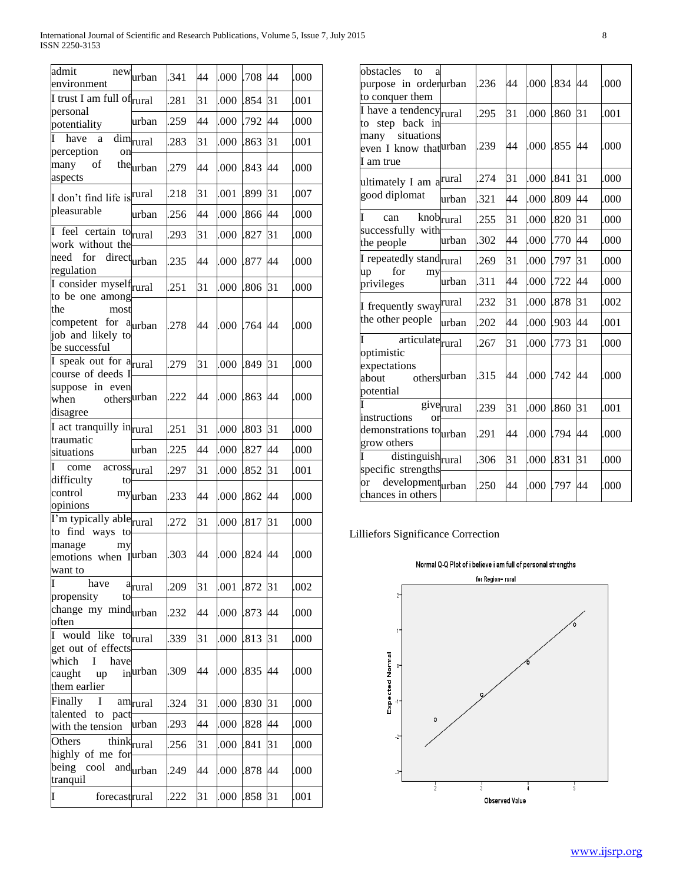| admit<br>new<br>environment                                                           | urban                  | 341  | 44 | .000 | .708         | 44 | .000 |
|---------------------------------------------------------------------------------------|------------------------|------|----|------|--------------|----|------|
| I trust I am full of rural                                                            |                        | .281 | 31 | .000 | .854         | 31 | .001 |
| personal<br>potentiality                                                              | urban                  | .259 | 44 | .000 | .792         | 44 | .000 |
| have<br>a<br>perception<br>on                                                         | $\dim_{\mbox{rural}}$  | .283 | 31 | .000 | .863         | 31 | .001 |
| many<br>of<br>aspects                                                                 | theurban               | .279 | 44 | .000 | .843         | 44 | .000 |
| I don't find life is rural                                                            |                        | .218 | 31 | .001 | .899         | 31 | .007 |
| pleasurable                                                                           | urban                  | .256 | 44 | .000 | .866         | 44 | .000 |
| feel certain to rural<br>work without the                                             |                        | .293 | 31 | .000 | .827         | 31 | .000 |
| for<br>need<br>regulation                                                             | directurban            | .235 | 44 | .000 | .877         | 44 | .000 |
| I consider myself $_{\text{rural}}$<br>to be one among                                |                        | .251 | 31 | .000 | .806         | 31 | .000 |
| the<br>most<br>competent for a <sub>urban</sub><br>job and likely to<br>be successful |                        | .278 | 44 | .000 | .764         | 44 | .000 |
| I speak out for a <sub>rural</sub><br>course of deeds I                               |                        | .279 | 31 | .000 | .849         | 31 | .000 |
| suppose in even<br>othersurban<br>when<br>disagree                                    |                        | .222 | 44 | .000 | .863         | 44 | .000 |
| I act tranquilly intrural                                                             |                        | .251 | 31 | .000 | .803         | 31 | .000 |
| traumatic<br>situations                                                               | urban                  | .225 | 44 | .000 | .827         | 44 | .000 |
| I<br>acrossrural<br>come                                                              |                        | .297 | 31 | .000 | .852         | 31 | .001 |
| difficulty<br>to<br>control<br>opinions                                               | myurban                | .233 | 44 | .000 | .862         | 44 | .000 |
| I'm typically able <sub>rural</sub>                                                   |                        | .272 | 31 | .000 | .817         | 31 | .000 |
| to find ways to<br>manage<br>my<br>emotions when Iurban<br>want to                    |                        | .303 | 44 |      | .000 .824 44 |    | .000 |
| have<br>propensity<br>to                                                              | a <sub>runal</sub>     | .209 | 31 | .001 | .872         | 31 | .002 |
| change my mind <sub>urban</sub><br>often                                              |                        | .232 | 44 | .000 | .873         | 44 | .000 |
| I would like to rural                                                                 |                        | 339  | 31 | .000 | .813         | 31 | .000 |
| get out of effects<br>which<br>L<br>have<br>caught<br>up<br>them earlier              | inurban                | 309  | 44 | .000 | .835         | 44 | .000 |
| Finally<br>I                                                                          | amrural                | .324 | 31 | .000 | .830         | 31 | .000 |
| talented to<br>pact<br>with the tension                                               | urban                  | .293 | 44 | .000 | .828         | 44 | .000 |
| Others                                                                                | think <sub>rural</sub> | .256 | 31 | .000 | .841         | 31 | .000 |
| highly of me for<br>being<br>cool<br>tranquil                                         | and $urban$            | .249 | 44 | .000 | .878         | 44 | .000 |
| I<br>forecastrural                                                                    |                        | .222 | 31 | .000 | .858         | 31 | .001 |

| obstacles<br>to<br>a                                                    |                       |      |    |      |         |    |      |
|-------------------------------------------------------------------------|-----------------------|------|----|------|---------|----|------|
| purpose in orderurban<br>to conquer them                                |                       | .236 | 44 | .000 | .834 44 |    | .000 |
| I have a tendency $_{\text{rural}}$<br>to step back in                  |                       | .295 | 31 | .000 | .860    | 31 | .001 |
| situations<br>many<br>even I know that urban<br>I am true               |                       | 239  | 44 | .000 | .855    | 44 | .000 |
| ultimately I am a <sup>rural</sup>                                      |                       | 274  | 31 | .000 | .841    | 31 | .000 |
| good diplomat                                                           | urban                 | 321  | 44 | .000 | .809    | 44 | .000 |
| T<br>knobrural<br>can<br>successfully with                              |                       | .255 | 31 | .000 | .820    | 31 | .000 |
| the people                                                              | urban                 | 302  | 44 | .000 | .770    | 44 | .000 |
| I repeatedly standrural                                                 |                       | 269  | 31 | .000 | .797    | 31 | .000 |
| for<br>up<br>my<br>privileges                                           | urban                 | 311  | 44 | .000 | .722    | 44 | .000 |
| I frequently sway rural                                                 |                       | .232 | 31 | .000 | .878    | 31 | .002 |
| the other people                                                        | urban                 | 202  | 44 | .000 | .903    | 44 | .001 |
| articulaterural<br>optimistic                                           |                       | 267  | 31 | .000 | .773    | 31 | .000 |
| expectations<br>othersurban<br>about<br>potential                       |                       | 315  | 44 | .000 | .742    | 44 | .000 |
|                                                                         | give <sub>rural</sub> | 239  | 31 | .000 | .860    | 31 | .001 |
| instructions<br>or<br>demonstrations tourban<br>grow others<br>I distin |                       | 291  | 44 | .000 | .794    | 44 | .000 |
| distinguish <sub>rural</sub><br>specific strengths                      |                       | 306  | 31 | .000 | .831    | 31 | .000 |
| developmenturban<br>or<br>chances in others                             |                       | .250 | 44 | .000 | .797    | 44 | .000 |

# Lilliefors Significance Correction

# Normal Q-Q Plot of i believe i am full of personal strengths

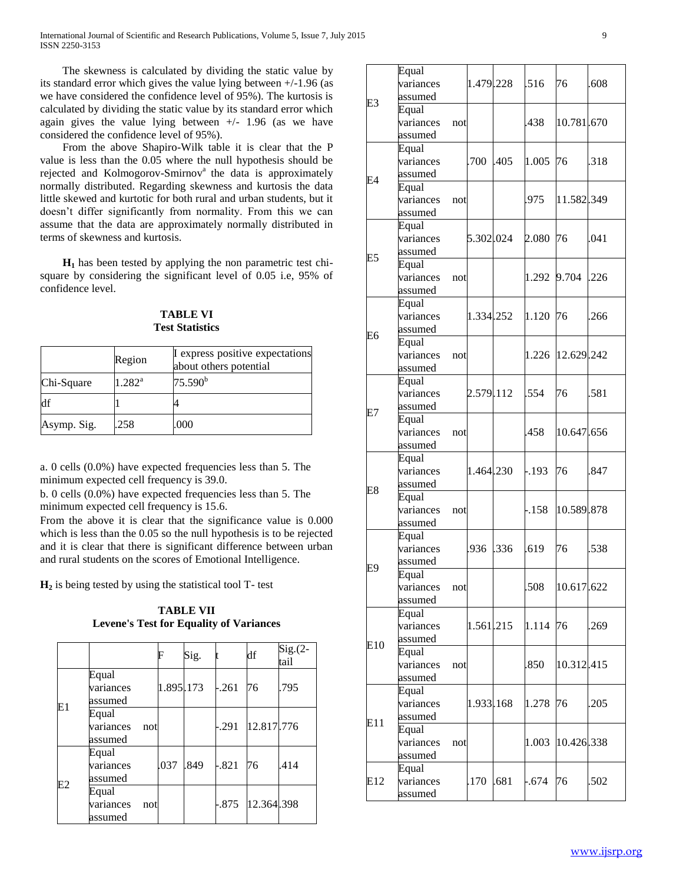The skewness is calculated by dividing the static value by its standard error which gives the value lying between +/-1.96 (as we have considered the confidence level of 95%). The kurtosis is calculated by dividing the static value by its standard error which again gives the value lying between  $+/- 1.96$  (as we have considered the confidence level of 95%).

 From the above Shapiro-Wilk table it is clear that the P value is less than the 0.05 where the null hypothesis should be rejected and Kolmogorov-Smirnov<sup>a</sup> the data is approximately normally distributed. Regarding skewness and kurtosis the data little skewed and kurtotic for both rural and urban students, but it doesn't differ significantly from normality. From this we can assume that the data are approximately normally distributed in terms of skewness and kurtosis.

 **H<sup>1</sup>** has been tested by applying the non parametric test chisquare by considering the significant level of 0.05 i.e, 95% of confidence level.

**TABLE VI Test Statistics**

|             | Region          | I express positive expectations<br>about others potential |
|-------------|-----------------|-----------------------------------------------------------|
| Chi-Square  | $1.282^{\rm a}$ | 75.590 <sup>b</sup>                                       |
| df          |                 |                                                           |
| Asymp. Sig. | .258            | .000                                                      |

a. 0 cells (0.0%) have expected frequencies less than 5. The minimum expected cell frequency is 39.0.

b. 0 cells (0.0%) have expected frequencies less than 5. The minimum expected cell frequency is 15.6.

From the above it is clear that the significance value is 0.000 which is less than the 0.05 so the null hypothesis is to be rejected and it is clear that there is significant difference between urban and rural students on the scores of Emotional Intelligence.

**H<sup>2</sup>** is being tested by using the statistical tool T- test

**TABLE VII Levene's Test for Equality of Variances**

|    |                               |                                      | F         | Sig.    |            | df                  | $Sig.(2-$<br>tail |
|----|-------------------------------|--------------------------------------|-----------|---------|------------|---------------------|-------------------|
| E1 | Equal<br>variances<br>assumed |                                      | 1.895.173 | $-.261$ | 76         | .795                |                   |
|    |                               | Equal<br>variances<br>not<br>assumed |           |         |            | -.291 12.817.776    |                   |
| E2 |                               | Equal<br>variances<br>assumed        | .037      | .849    | $-.821$ 76 |                     | .414              |
|    |                               | Equal<br>variances<br>not<br>assumed |           |         |            | -.875   12.364 .398 |                   |

|     | Equal<br>variances<br>assumed |     | 1.479.228 |      | .516    | 76         | .608 |
|-----|-------------------------------|-----|-----------|------|---------|------------|------|
| E3  | Equal<br>variances<br>assumed | not |           |      | .438    | 10.781.670 |      |
| F4  | Equal<br>variances<br>assumed |     | .700      | .405 | 1.005   | 76         | .318 |
|     | Equal<br>variances<br>assumed | not |           |      | .975    | 11.582.349 |      |
| E5  | Equal<br>variances<br>assumed |     | 5.302.024 |      | 2.080   | 76         | .041 |
|     | Equal<br>variances<br>assumed | not |           |      | 1.292   | 9.704      | .226 |
|     | Equal<br>variances<br>assumed |     | 1.334.252 |      | 1.120   | 76         | .266 |
| E6  | Equal<br>variances<br>assumed | not |           |      | 1.226   | 12.629.242 |      |
|     | Equal<br>variances<br>assumed |     | 2.579.112 |      | .554    | 76         | .581 |
| E7  | Equal<br>variances<br>assumed | not |           |      | .458    | 10.647.656 |      |
| E8  | Equal<br>variances<br>assumed |     | 1.464.230 |      | $-.193$ | 76         | .847 |
|     | Equal<br>variances<br>assumed | not |           |      | -.158   | 10.589.878 |      |
| E9  | Equal<br>variances<br>assumed |     | .936      | .336 | .619    | 76         | .538 |
|     | Equal<br>variances<br>assumed | not |           |      | .508    | 10.617.622 |      |
| E10 | Equal<br>variances<br>assumed |     | 1.561.215 |      | 1.114   | 76         | .269 |
|     | Equal<br>variances<br>assumed | not |           |      | .850    | 10.312.415 |      |
|     | Equal<br>variances<br>assumed |     | 1.933.168 |      | 1.278   | 76         | .205 |
| E11 | Equal<br>variances<br>assumed | not |           |      | 1.003   | 10.426.338 |      |
| E12 | Equal<br>variances<br>assumed |     | .170      | .681 | -.674   | 76         | .502 |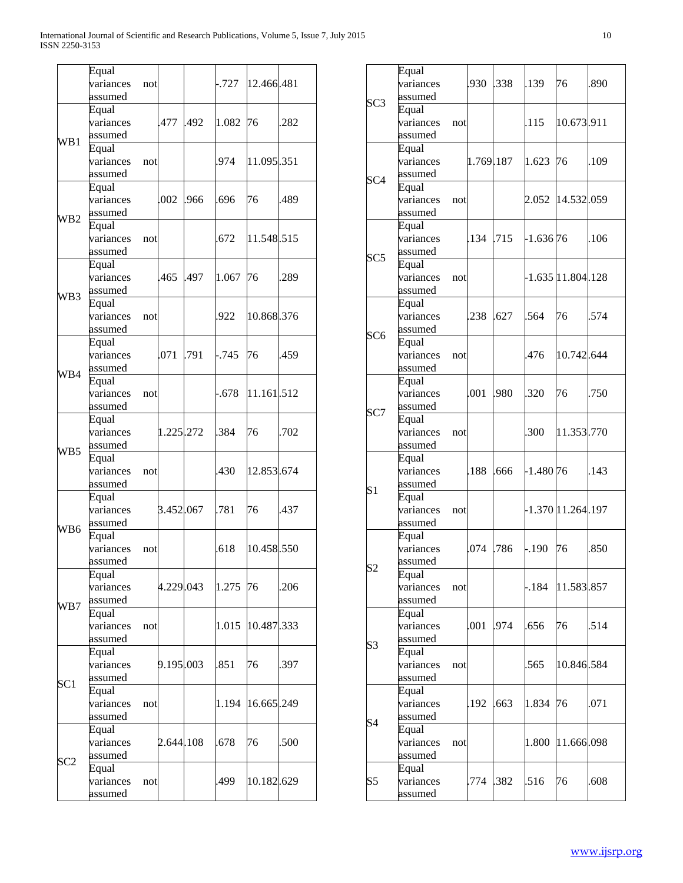|     | Equal<br>variances<br>assumed | not |           |      | .727     | 12.466.481 |      |
|-----|-------------------------------|-----|-----------|------|----------|------------|------|
| WB1 | Equal<br>variances<br>assumed |     | 477       | .492 | 1.082    | 76         | .282 |
|     | Equal<br>variances<br>assumed | not |           |      | 974      | 11.095.351 |      |
| WB2 | Equal<br>variances<br>assumed |     | .002      | .966 | .696     | 76         | .489 |
|     | Equal<br>variances<br>assumed | not |           |      | .672     | 11.548.515 |      |
| WB3 | Equal<br>variances<br>assumed |     | 465       | .497 | 1.067    | 76         | .289 |
|     | Equal<br>variances<br>assumed | not |           |      | .922     | 10.868.376 |      |
| WB4 | Equal<br>variances<br>assumed |     | .071      | .791 | $-0.745$ | 76         | .459 |
|     | Equal<br>variances<br>assumed | not |           |      | -.678    | 11.161.512 |      |
| WB5 | Equal<br>variances<br>assumed |     | 1.225.272 |      | .384     | 76         | .702 |
|     | Equal<br>variances<br>assumed | not |           |      | 430      | 12.853.674 |      |
| WB6 | Equal<br>variances<br>assumed |     | 3.452.067 |      | .781     | 76         | .437 |
|     | Equal<br>variances<br>assumed | not |           |      | 618      | 10.458.550 |      |
| WB7 | Equal<br>variances<br>assumed |     | 4.229.043 |      | 1.275    | 76         | .206 |
|     | Equal<br>variances<br>assumed | not |           |      | 1.015    | 10.487.333 |      |
| SC1 | Equal<br>variances<br>assumed |     | 9.195.003 |      | .851     | 76         | .397 |
|     | Equal<br>variances<br>assumed | not |           |      | 1.194    | 16.665.249 |      |
|     | Equal<br>variances<br>assumed |     | 2.644.108 |      | .678     | 76         | .500 |
| SC2 | Equal<br>variances<br>assumed | not |           |      | 499      | 10.182.629 |      |

| SC3             | Equal<br>variances<br>assumed |     | .930      | .338 | .139        | 76                | .890 |
|-----------------|-------------------------------|-----|-----------|------|-------------|-------------------|------|
|                 | Equal<br>variances<br>assumed | not |           |      | .115        | 10.673.911        |      |
| SC <sub>4</sub> | Equal<br>variances<br>assumed |     | 1.769.187 |      | 1.623       | 76                | .109 |
|                 | Equal<br>variances<br>assumed | not |           |      | 2.052       | 14.532.059        |      |
| SC5             | Equal<br>variances<br>assumed |     | .134      | .715 | $-1.636$ 76 |                   | .106 |
|                 | Equal<br>variances<br>assumed | not |           |      |             | -1.635 11.804 128 |      |
| SC <sub>6</sub> | Equal<br>variances<br>assumed |     | .238      | .627 | .564        | 76                | .574 |
|                 | Equal<br>variances<br>assumed | not |           |      | .476        | 10.742.644        |      |
| SC7             | Equal<br>variances<br>assumed |     | .001      | .980 | .320        | 76                | .750 |
|                 | Equal<br>variances<br>assumed | not |           |      | .300        | 11.353.770        |      |
| S <sub>1</sub>  | Equal<br>variances<br>assumed |     | .188      | .666 | $-1.480$ 76 |                   | .143 |
|                 | Equal<br>variances<br>assumed | not |           |      |             | 1.370 11.264 197  |      |
| S2              | Equal<br>variances<br>assumed |     | .074      | .786 | $-.190$     | 76                | .850 |
|                 | Equal<br>variances<br>assumed | not |           |      | $-184$      | 11.583.857        |      |
| S3              | Equal<br>variances<br>assumed |     | .001      | .974 | .656        | 76                | .514 |
|                 | Equal<br>variances<br>assumed | not |           |      | .565        | 10.846.584        |      |
| S4              | Equal<br>variances<br>assumed |     | .192      | .663 | 1.834       | 76                | .071 |
|                 | Equal<br>variances<br>assumed | not |           |      | 1.800       | 11.666.098        |      |
| S5              | Equal<br>variances<br>assumed |     | .774      | .382 | .516        | 76                | .608 |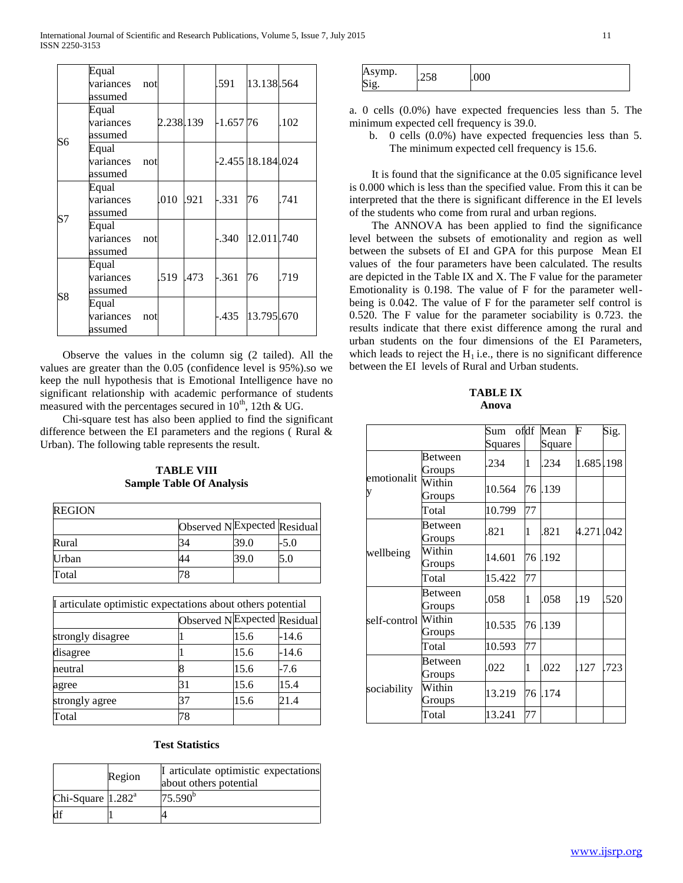|                | Equal<br>variances<br>assumed | not |                | .591    | 13.138.564             |      |
|----------------|-------------------------------|-----|----------------|---------|------------------------|------|
|                | Equal<br>variances<br>assumed |     |                |         |                        | .102 |
| S6             | Equal<br>variances<br>assumed | not |                |         | -2.455 18.184 .024     |      |
|                | Equal<br>variances<br>assumed |     | .010 .921      | $-.331$ | 76                     | .741 |
| S7             | Equal<br>variances<br>assumed | not |                |         | $-0.340$   12.011 .740 |      |
|                | Equal<br>variances<br>assumed |     | .519 .473 .361 |         | 76                     | .719 |
| S <sub>8</sub> | Equal<br>variances<br>assumed | not |                |         | -.435 13.795.670       |      |

 Observe the values in the column sig (2 tailed). All the values are greater than the 0.05 (confidence level is 95%).so we keep the null hypothesis that is Emotional Intelligence have no significant relationship with academic performance of students measured with the percentages secured in  $10^{th}$ , 12th & UG.

 Chi-square test has also been applied to find the significant difference between the EI parameters and the regions (Rural  $\&$ Urban). The following table represents the result.

**TABLE VIII Sample Table Of Analysis**

| <b>REGION</b> |                                         |      |      |
|---------------|-----------------------------------------|------|------|
|               | Observed N <sup>Expected</sup> Residual |      |      |
| Rural         | 34                                      | 39.0 | -5.0 |
| Urban         |                                         | 39.0 | 5.0  |
| Total         |                                         |      |      |

| If articulate optimistic expectations about others potential |    |      |                             |
|--------------------------------------------------------------|----|------|-----------------------------|
|                                                              |    |      | Observed NExpected Residual |
| strongly disagree                                            |    | 15.6 | -14.6                       |
| disagree                                                     |    | 15.6 | $-14.6$                     |
| neutral                                                      |    | 15.6 | $-7.6$                      |
| agree                                                        | 31 | 15.6 | 15.4                        |
| strongly agree                                               | 37 | 15.6 | 21.4                        |
| Total                                                        |    |      |                             |

#### **Test Statistics**

| Region              |  | I articulate optimistic expectations<br>about others potential |  |  |  |  |  |
|---------------------|--|----------------------------------------------------------------|--|--|--|--|--|
| Chi-Square $1.282a$ |  | $75.590^{\rm b}$                                               |  |  |  |  |  |
|                     |  |                                                                |  |  |  |  |  |

| mp.<br>K<br>$\sim$ $\sim$<br>$\sim$<br>.vvv<br>-- -<br>$\mathbf{C}$<br>◡ |
|--------------------------------------------------------------------------|
|--------------------------------------------------------------------------|

a. 0 cells (0.0%) have expected frequencies less than 5. The minimum expected cell frequency is 39.0.

b. 0 cells (0.0%) have expected frequencies less than 5. The minimum expected cell frequency is 15.6.

 It is found that the significance at the 0.05 significance level is 0.000 which is less than the specified value. From this it can be interpreted that the there is significant difference in the EI levels of the students who come from rural and urban regions.

 The ANNOVA has been applied to find the significance level between the subsets of emotionality and region as well between the subsets of EI and GPA for this purpose Mean EI values of the four parameters have been calculated. The results are depicted in the Table IX and X. The F value for the parameter Emotionality is 0.198. The value of F for the parameter wellbeing is 0.042. The value of F for the parameter self control is 0.520. The F value for the parameter sociability is 0.723. the results indicate that there exist difference among the rural and urban students on the four dimensions of the EI Parameters, which leads to reject the  $H_1$  i.e., there is no significant difference between the EI levels of Rural and Urban students.

**TABLE IX Anova**

|                  |                   | Sum ofdf<br>Squares |    | Mean<br>Square | F         | Sig. |
|------------------|-------------------|---------------------|----|----------------|-----------|------|
| emotionalit<br>V | Between<br>Groups | .234                | 1  | .234           | 1.685.198 |      |
|                  | Within<br>Groups  | 10.564              | 76 | .139           |           |      |
|                  | Total             | 10.799              | 77 |                |           |      |
| wellbeing        | Between<br>Groups | .821                | 1  | .821           | 4.271.042 |      |
|                  | Within<br>Groups  | 14.601              | 76 | .192           |           |      |
|                  | Total             | 15.422              | 77 |                |           |      |
|                  | Between<br>Groups | .058                | 1  | .058           | .19       | .520 |
| self-control     | Within<br>Groups  | 10.535              | 76 | .139           |           |      |
|                  | Total             | 10.593              | 77 |                |           |      |
|                  | Between<br>Groups | .022                | 1  | .022           | .127      | .723 |
| sociability      | Within<br>Groups  | 13.219              | 76 | .174           |           |      |
|                  | Total             | 13.241              | 77 |                |           |      |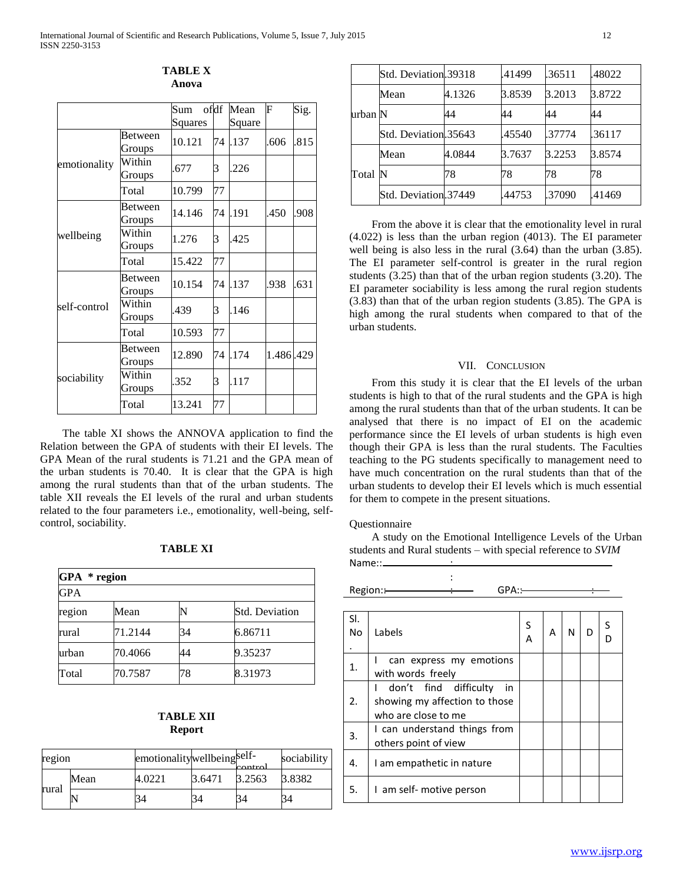|              |         | Sum     | ofdf | Mean   | F         | Sig. |
|--------------|---------|---------|------|--------|-----------|------|
|              |         | Squares |      | Square |           |      |
| emotionality | Between | 10.121  | 74   | .137   | .606      | .815 |
|              | Groups  |         |      |        |           |      |
|              | Within  | .677    | 3    | .226   |           |      |
|              | Groups  |         |      |        |           |      |
|              | Total   | 10.799  | 77   |        |           |      |
| wellbeing    | Between | 14.146  | 74   | .191   | .450      | .908 |
|              | Groups  |         |      |        |           |      |
|              | Within  | 1.276   | 3    | .425   |           |      |
|              | Groups  |         |      |        |           |      |
|              | Total   | 15.422  | 77   |        |           |      |
|              | Between | 10.154  | 74   | .137   | .938      | .631 |
|              | Groups  |         |      |        |           |      |
| self-control | Within  | .439    | 3    | .146   |           |      |
|              | Groups  |         |      |        |           |      |
|              | Total   | 10.593  | 77   |        |           |      |
|              | Between | 12.890  | 74   | .174   | 1.486.429 |      |
|              | Groups  |         |      |        |           |      |
| sociability  | Within  | .352    | 3    | .117   |           |      |
|              | Groups  |         |      |        |           |      |
|              | Total   | 13.241  | 77   |        |           |      |

**TABLE X Anova**

 The table XI shows the ANNOVA application to find the Relation between the GPA of students with their EI levels. The GPA Mean of the rural students is 71.21 and the GPA mean of the urban students is 70.40. It is clear that the GPA is high among the rural students than that of the urban students. The table XII reveals the EI levels of the rural and urban students related to the four parameters i.e., emotionality, well-being, selfcontrol, sociability.

| ABLE<br>г |  |
|-----------|--|
|-----------|--|

| $GPA * region$ |         |    |                       |  |  |  |  |
|----------------|---------|----|-----------------------|--|--|--|--|
| GPA            |         |    |                       |  |  |  |  |
| region         | Mean    |    | <b>Std. Deviation</b> |  |  |  |  |
| rural          | 71.2144 | 34 | 6.86711               |  |  |  |  |
| urban          | 70.4066 | 44 | 9.35237               |  |  |  |  |
| Total          | 70.7587 | 78 | 8.31973               |  |  |  |  |

# **TABLE XII Report**

| region |      | emotionalitywellbeing <sup>self-</sup> |        | $\sim$ ntrol | sociability |
|--------|------|----------------------------------------|--------|--------------|-------------|
|        | Mean | 4.0221                                 | 3.6471 | 3.2563       | 3.8382      |
| rural  |      |                                        | 34     |              | 34          |

|         | Std. Deviation.39318 |        | .41499 | .36511 | .48022 |
|---------|----------------------|--------|--------|--------|--------|
|         | Mean                 | 4.1326 | 3.8539 | 3.2013 | 3.8722 |
| urban N |                      | 44     | 44     | 44     | 44     |
|         | Std. Deviation.35643 |        | .45540 | 37774  | .36117 |
| Total   | Mean                 | 4.0844 | 3.7637 | 3.2253 | 3.8574 |
|         | IN                   | 78     | 78     | 78     | 78     |
|         | Std. Deviation.37449 |        | .44753 | .37090 | .41469 |

 From the above it is clear that the emotionality level in rural (4.022) is less than the urban region (4013). The EI parameter well being is also less in the rural (3.64) than the urban (3.85). The EI parameter self-control is greater in the rural region students (3.25) than that of the urban region students (3.20). The EI parameter sociability is less among the rural region students (3.83) than that of the urban region students (3.85). The GPA is high among the rural students when compared to that of the urban students.

#### VII. CONCLUSION

 From this study it is clear that the EI levels of the urban students is high to that of the rural students and the GPA is high among the rural students than that of the urban students. It can be analysed that there is no impact of EI on the academic performance since the EI levels of urban students is high even though their GPA is less than the rural students. The Faculties teaching to the PG students specifically to management need to have much concentration on the rural students than that of the urban students to develop their EI levels which is much essential for them to compete in the present situations.

#### **Ouestionnaire**

 A study on the Emotional Intelligence Levels of the Urban students and Rural students – with special reference to *SVIM*

|                  | Name::                                       |        |   |   |   |  |
|------------------|----------------------------------------------|--------|---|---|---|--|
|                  |                                              |        |   |   |   |  |
|                  | Region:-<br>$GPA:$ —                         |        |   |   |   |  |
|                  |                                              |        |   |   |   |  |
| SI.<br><b>No</b> | Labels                                       | S<br>A | Α | N | D |  |
| 1.               | can express my emotions<br>with words freely |        |   |   |   |  |
|                  | find difficulty<br>don't<br>in               |        |   |   |   |  |

| 2. | showing my affection to those<br>who are close to me |  |  |  |
|----|------------------------------------------------------|--|--|--|
| 3. | I can understand things from<br>others point of view |  |  |  |
| 4. | I am empathetic in nature                            |  |  |  |
| .5 | I am self- motive person                             |  |  |  |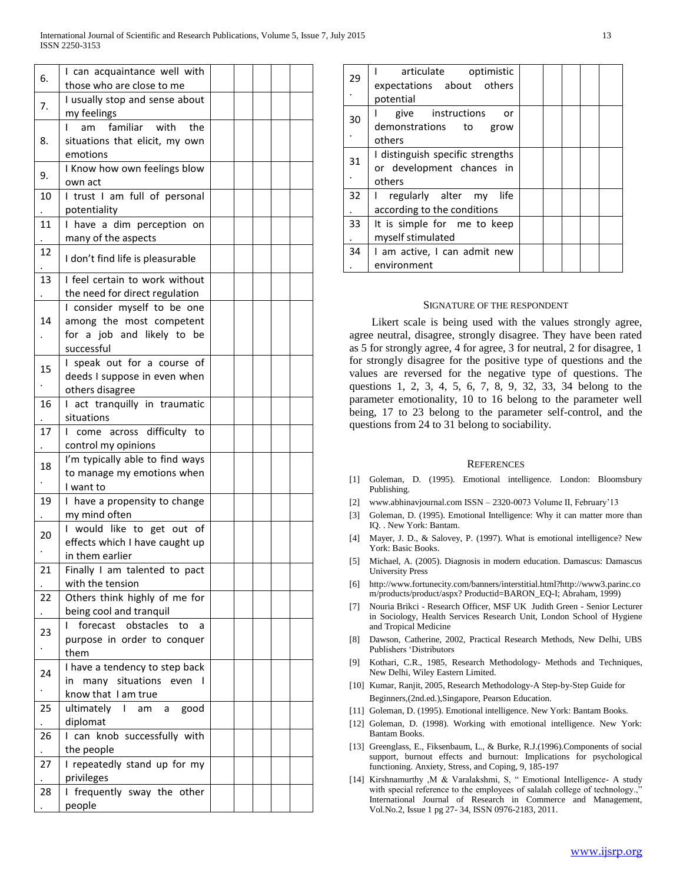|    | I can acquaintance well with                           |  |  |  |
|----|--------------------------------------------------------|--|--|--|
| 6. | those who are close to me                              |  |  |  |
|    | I usually stop and sense about                         |  |  |  |
| 7. | my feelings                                            |  |  |  |
|    | familiar with<br>the<br>am<br>$\mathbf{I}$             |  |  |  |
| 8. | situations that elicit, my own                         |  |  |  |
|    | emotions                                               |  |  |  |
| 9. | I Know how own feelings blow                           |  |  |  |
|    | own act                                                |  |  |  |
| 10 | I trust I am full of personal                          |  |  |  |
|    | potentiality                                           |  |  |  |
| 11 | I have a dim perception on                             |  |  |  |
|    | many of the aspects                                    |  |  |  |
| 12 | I don't find life is pleasurable                       |  |  |  |
|    |                                                        |  |  |  |
| 13 | I feel certain to work without                         |  |  |  |
|    | the need for direct regulation                         |  |  |  |
|    | I consider myself to be one                            |  |  |  |
| 14 | among the most competent                               |  |  |  |
|    | for a job and likely to be                             |  |  |  |
|    | successful                                             |  |  |  |
| 15 | I speak out for a course of                            |  |  |  |
|    | deeds I suppose in even when                           |  |  |  |
|    | others disagree                                        |  |  |  |
| 16 | I act tranquilly in traumatic<br>situations            |  |  |  |
| 17 |                                                        |  |  |  |
|    | I come across difficulty to                            |  |  |  |
|    | control my opinions<br>I'm typically able to find ways |  |  |  |
| 18 | to manage my emotions when                             |  |  |  |
|    | I want to                                              |  |  |  |
| 19 | I have a propensity to change                          |  |  |  |
|    | my mind often                                          |  |  |  |
|    | I would like to get out of                             |  |  |  |
| 20 | effects which I have caught up                         |  |  |  |
|    | in them earlier                                        |  |  |  |
| 21 | Finally I am talented to pact                          |  |  |  |
|    | with the tension                                       |  |  |  |
| 22 | Others think highly of me for                          |  |  |  |
|    | being cool and tranquil                                |  |  |  |
|    | I forecast obstacles<br>to<br>a                        |  |  |  |
| 23 | purpose in order to conquer                            |  |  |  |
|    | them                                                   |  |  |  |
| 24 | I have a tendency to step back                         |  |  |  |
|    | many situations even<br>in                             |  |  |  |
| ٠  | know that I am true                                    |  |  |  |
| 25 | ultimately I am a<br>good                              |  |  |  |
|    | diplomat                                               |  |  |  |
| 26 | I can knob successfully with                           |  |  |  |
|    | the people                                             |  |  |  |
| 27 | I repeatedly stand up for my                           |  |  |  |
|    | privileges                                             |  |  |  |
| 28 | I frequently sway the other                            |  |  |  |
|    | people                                                 |  |  |  |

| 29 | articulate optimistic<br>expectations about others<br>potential         |  |  |  |
|----|-------------------------------------------------------------------------|--|--|--|
| 30 | give instructions<br>or<br>demonstrations to grow<br>others             |  |  |  |
| 31 | I distinguish specific strengths<br>or development chances in<br>others |  |  |  |
| 32 | regularly alter my<br>life<br>L<br>according to the conditions          |  |  |  |
| 33 | It is simple for me to keep<br>myself stimulated                        |  |  |  |
| 34 | I am active, I can admit new<br>environment                             |  |  |  |

#### SIGNATURE OF THE RESPONDENT

 Likert scale is being used with the values strongly agree, agree neutral, disagree, strongly disagree. They have been rated as 5 for strongly agree, 4 for agree, 3 for neutral, 2 for disagree, 1 for strongly disagree for the positive type of questions and the values are reversed for the negative type of questions. The questions 1, 2, 3, 4, 5, 6, 7, 8, 9, 32, 33, 34 belong to the parameter emotionality, 10 to 16 belong to the parameter well being, 17 to 23 belong to the parameter self-control, and the questions from 24 to 31 belong to sociability.

#### **REFERENCES**

- [1] Goleman, D. (1995). Emotional intelligence. London: Bloomsbury Publishing.
- [2] www.abhinavjournal.com ISSN 2320-0073 Volume II, February'13
- [3] Goleman, D. (1995). Emotional Intelligence: Why it can matter more than IQ. . New York: Bantam.
- [4] Mayer, J. D., & Salovey, P. (1997). What is emotional intelligence? New York: Basic Books.
- [5] Michael, A. (2005). Diagnosis in modern education. Damascus: Damascus University Press
- [6] http://www.fortunecity.com/banners/interstitial.html?http://www3.parinc.co m/products/product/aspx? Productid=BARON\_EQ-I; Abraham, 1999)
- [7] Nouria Brikci Research Officer, MSF UK Judith Green Senior Lecturer in Sociology, Health Services Research Unit, London School of Hygiene and Tropical Medicine
- [8] Dawson, Catherine, 2002, Practical Research Methods, New Delhi, UBS Publishers 'Distributors
- [9] Kothari, C.R., 1985, Research Methodology- Methods and Techniques, New Delhi, Wiley Eastern Limited.
- [10] Kumar, Ranjit, 2005, Research Methodology-A Step-by-Step Guide for Beginners,(2nd.ed.),Singapore, Pearson Education.
- [11] Goleman, D. (1995). Emotional intelligence. New York: Bantam Books.
- [12] Goleman, D. (1998). Working with emotional intelligence. New York: Bantam Books.
- [13] Greenglass, E., Fiksenbaum, L., & Burke, R.J.(1996).Components of social support, burnout effects and burnout: Implications for psychological functioning. Anxiety, Stress, and Coping, 9, 185-197
- [14] Kirshnamurthy ,M & Varalakshmi, S, " Emotional Intelligence- A study with special reference to the employees of salalah college of technology.," International Journal of Research in Commerce and Management, Vol.No.2, Issue 1 pg 27- 34, ISSN 0976-2183, 2011.